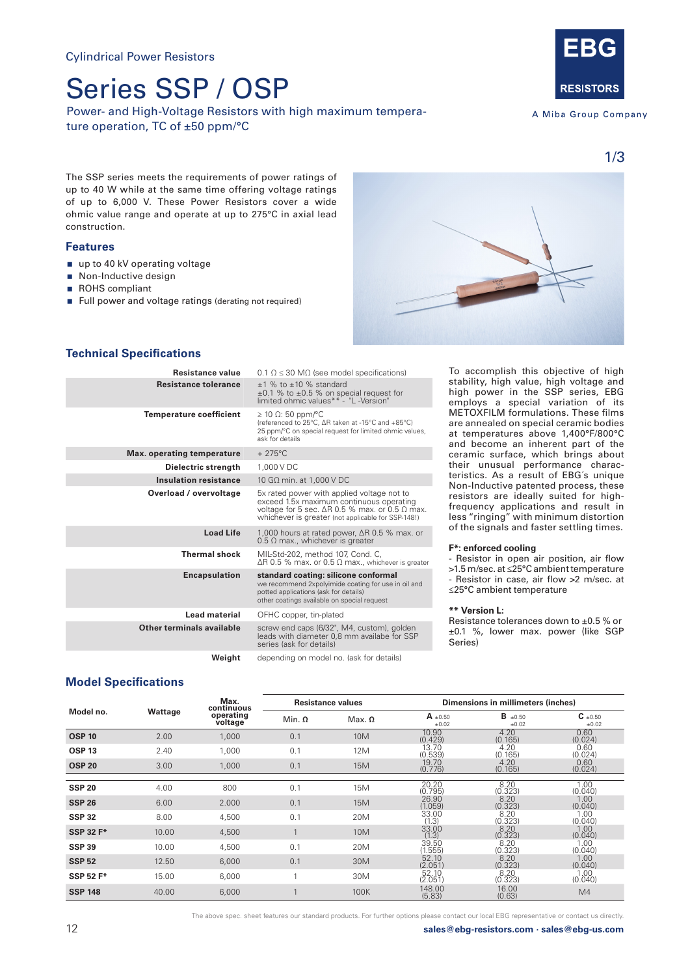# Series SSP / OSP

Power- and High-Voltage Resistors with high maximum temperature operation, TC of ±50 ppm/°C



A Miba Group Company

1/3

The SSP series meets the requirements of power ratings of up to 40 W while at the same time offering voltage ratings of up to 6,000 V. These Power Resistors cover a wide ohmic value range and operate at up to 275°C in axial lead construction.

### **Features**

- up to 40 kV operating voltage
- Non-Inductive design
- ROHS compliant
- Full power and voltage ratings (derating not required)



### **Technical Specifications**

| Resistance value                  | $0.1 \Omega \leq 30 \text{ M}\Omega$ (see model specifications)                                                                                                                                               |  |  |  |  |
|-----------------------------------|---------------------------------------------------------------------------------------------------------------------------------------------------------------------------------------------------------------|--|--|--|--|
| <b>Resistance tolerance</b>       | $+1$ % to $+10$ % standard<br>$\pm 0.1$ % to $\pm 0.5$ % on special request for<br>limited ohmic values** - "L -Version"                                                                                      |  |  |  |  |
| <b>Temperature coefficient</b>    | $\geq$ 10 $\Omega$ : 50 ppm/°C<br>(referenced to 25°C, ∆R taken at -15°C and +85°C)<br>25 ppm/°C on special request for limited ohmic values,<br>ask for details                                              |  |  |  |  |
| <b>Max.</b> operating temperature | $+275^{\circ}$ C                                                                                                                                                                                              |  |  |  |  |
| Dielectric strength               | 1.000 V DC                                                                                                                                                                                                    |  |  |  |  |
| <b>Insulation resistance</b>      | 10 GΩ min. at 1,000 V DC                                                                                                                                                                                      |  |  |  |  |
| Overload / overvoltage            | 5x rated power with applied voltage not to<br>exceed 1.5x maximum continuous operating<br>voltage for 5 sec. $\Delta R$ 0.5 % max. or 0.5 $\Omega$ max.<br>whichever is greater (not applicable for SSP-148!) |  |  |  |  |
| <b>Load Life</b>                  | 1,000 hours at rated power, $\Delta$ R 0.5 % max. or<br>$0.5 \Omega$ max., whichever is greater                                                                                                               |  |  |  |  |
| <b>Thermal shock</b>              | MIL-Std-202, method 107, Cond. C,<br>$\Delta$ R 0.5 % max, or 0.5 $\Omega$ max, whichever is greater                                                                                                          |  |  |  |  |
| <b>Encapsulation</b>              | standard coating: silicone conformal<br>we recommend 2xpolyimide coating for use in oil and<br>potted applications (ask for details)<br>other coatings available on special request                           |  |  |  |  |
| Lead material                     | OFHC copper, tin-plated                                                                                                                                                                                       |  |  |  |  |
| Other terminals available         | screw end caps (6/32", M4, custom), golden<br>leads with diameter 0,8 mm availabe for SSP<br>series (ask for details)                                                                                         |  |  |  |  |
| Weight                            | depending on model no. (ask for details)                                                                                                                                                                      |  |  |  |  |

To accomplish this objective of high stability, high value, high voltage and high power in the SSP series, EBG employs a special variation of its METOXFILM formulations. These films are annealed on special ceramic bodies at temperatures above 1,400°F/800°C and become an inherent part of the ceramic surface, which brings about their unusual performance characteristics. As a result of EBG´s unique Non-Inductive patented process, these resistors are ideally suited for highfrequency applications and result in less "ringing" with minimum distortion of the signals and faster settling times.

#### **F\*: enforced cooling**

- Resistor in open air position, air flow >1.5 m/sec. at ≤25°C ambient temperature - Resistor in case, air flow >2 m/sec. at ≤25°C ambient temperature

#### **\*\* Version L:**

Resistance tolerances down to ±0.5 % or ±0.1 %, lower max. power (like SGP Series)

### **Model Specifications**

|                  |         | Max.<br>continuous<br>operating<br>voltage | <b>Resistance values</b> |                 | Dimensions in millimeters (inches) |                         |                              |
|------------------|---------|--------------------------------------------|--------------------------|-----------------|------------------------------------|-------------------------|------------------------------|
| Model no.        | Wattage |                                            | Min. $\Omega$            | $Max.$ $\Omega$ | $A \pm 0.50$<br>±0.02              | $B_{\pm 0.50}$<br>±0.02 | $C_{\pm 0.50}$<br>$\pm 0.02$ |
| <b>OSP 10</b>    | 2.00    | 1,000                                      | 0.1                      | 10 <sub>M</sub> | 10.90<br>(0.429)                   | 4.20<br>(0.165)         | 0.60<br>(0.024)              |
| <b>OSP 13</b>    | 2.40    | 1,000                                      | 0.1                      | 12M             | 13.70<br>(0.539)                   | 4.20<br>(0.165)         | 0.60<br>(0.024)              |
| <b>OSP 20</b>    | 3.00    | 1.000                                      | 0.1                      | 15M             | 19.70<br>(0.776)                   | 4.20<br>(0.165)         | 0.60<br>(0.024)              |
|                  |         |                                            |                          |                 |                                    |                         |                              |
| <b>SSP 20</b>    | 4.00    | 800                                        | 0.1                      | 15M             | 20.20<br>(0.795)                   | 8.20<br>(0.323)         | 1.00<br>(0.040)              |
| <b>SSP 26</b>    | 6.00    | 2.000                                      | 0.1                      | 15M             | 26.90<br>(1.059)                   | 8.20<br>(0.323)         | 1.00<br>(0.040)              |
| <b>SSP 32</b>    | 8.00    | 4.500                                      | 0.1                      | 20M             | 33.00<br>(1.3)                     | 8.20<br>(0.323)         | 1.00<br>(0.040)              |
| <b>SSP 32 F*</b> | 10.00   | 4,500                                      |                          | 10 <sub>M</sub> | 33.00<br>(1.3)                     | 8.20<br>(0.323)         | 1.00<br>(0.040)              |
| <b>SSP 39</b>    | 10.00   | 4,500                                      | 0.1                      | 20M             | 39.50<br>(1.555)                   | 8.20<br>(0.323)         | 1.00<br>(0.040)              |
| <b>SSP 52</b>    | 12.50   | 6,000                                      | 0.1                      | 30M             | 52.10<br>(2.051)                   | 8.20<br>(0.323)         | 1.00<br>(0.040)              |
| <b>SSP 52 F*</b> | 15.00   | 6,000                                      |                          | 30M             | 52.10<br>(2.051)                   | 8.20<br>(0.323)         | 1.00<br>(0.040)              |
| <b>SSP 148</b>   | 40.00   | 6,000                                      |                          | 100K            | 148.00<br>(5.83)                   | 16.00<br>(0.63)         | M4                           |

The above spec. sheet features our standard products. For further options please contact our local EBG representative or contact us directly.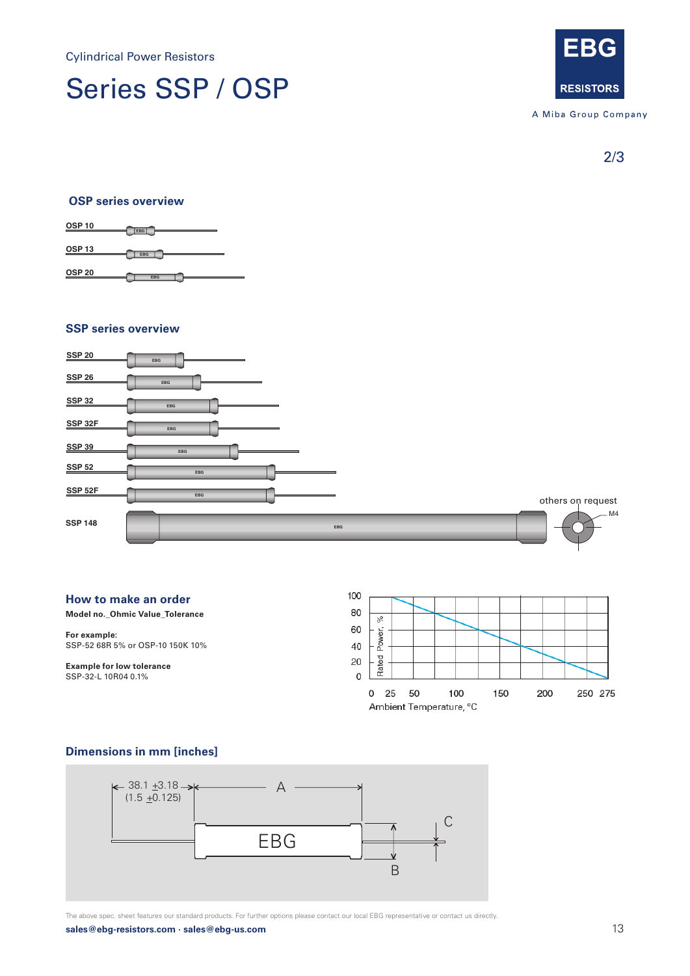Cylindrical Power Resistors

## Cylindrical Power Resistor Series SSP / OSP



A Miba Group Company

2/3

### **OSP series overview OSP series overview**



## **SSP series overview EBG SSP 26 EBG OSP 20 SSP series overview EBG SSP 26 EBG OSP 20 SSP series overview**



### **How to make an order**

**Model no.\_Ohmic Value\_Tolerance Model no.\_Ohmic Value\_Tolerance Model no.\_Ohmic Value\_Tolerance** 

**For example: For example:**  SSP-52 68R 5% or OSP-10 150K 10% SSP-52 68R 5% or OSP-10 150K 10% **For example:** 

**Example for low tolerance** SSP-32-L 10R04 0.1% **Example for low tolerance** SSP-32-L 10R04 0.1% **Example for low tolerance**



### **Dimensions in mm [inches] Dimensions in mm [inches]**



 ${\sf sales@ebg\text{-}resistors.com\text{-}}{\sf sales@ebg\text{-}us.com}$   $\bf \text{13}$ The above spec. sheet features our standard products. For further options please contact our local EBG representative or contact us directly. **2017.1 sales@ebg-resistors.com · sales@ebg-us.com · szebg@ebg-com.cn Page 2 of 3**